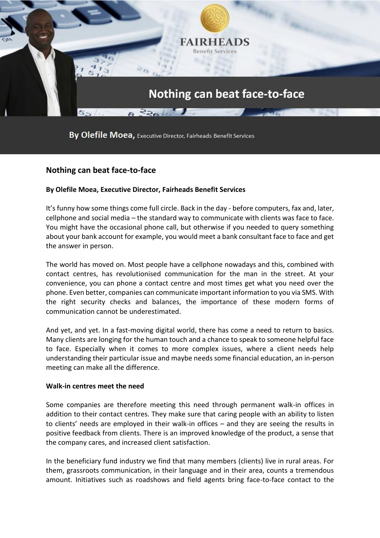

By Olefile Moea, Executive Director, Fairheads Benefit Services

## **Nothing can beat face-to-face**

## **By Olefile Moea, Executive Director, Fairheads Benefit Services**

It's funny how some things come full circle. Back in the day - before computers, fax and, later, cellphone and social media – the standard way to communicate with clients was face to face. You might have the occasional phone call, but otherwise if you needed to query something about your bank account for example, you would meet a bank consultant face to face and get the answer in person.

The world has moved on. Most people have a cellphone nowadays and this, combined with contact centres, has revolutionised communication for the man in the street. At your convenience, you can phone a contact centre and most times get what you need over the phone. Even better, companies can communicate important information to you via SMS. With the right security checks and balances, the importance of these modern forms of communication cannot be underestimated.

And yet, and yet. In a fast-moving digital world, there has come a need to return to basics. Many clients are longing for the human touch and a chance to speak to someone helpful face to face. Especially when it comes to more complex issues, where a client needs help understanding their particular issue and maybe needs some financial education, an in-person meeting can make all the difference.

## **Walk-in centres meet the need**

Some companies are therefore meeting this need through permanent walk-in offices in addition to their contact centres. They make sure that caring people with an ability to listen to clients' needs are employed in their walk-in offices – and they are seeing the results in positive feedback from clients. There is an improved knowledge of the product, a sense that the company cares, and increased client satisfaction.

In the beneficiary fund industry we find that many members (clients) live in rural areas. For them, grassroots communication, in their language and in their area, counts a tremendous amount. Initiatives such as roadshows and field agents bring face-to-face contact to the